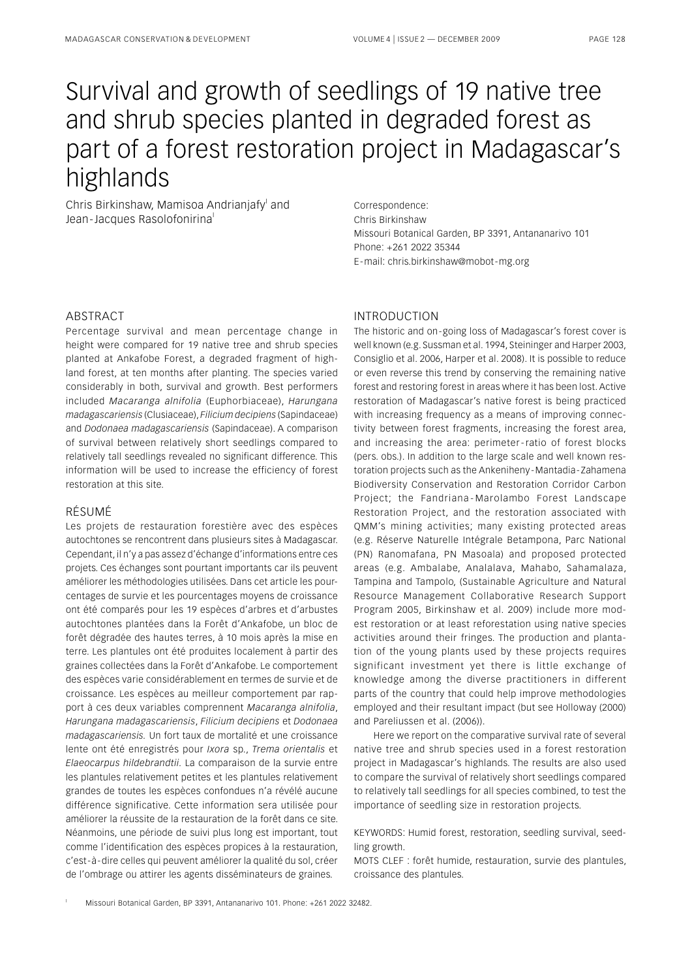# Survival and growth of seedlings of 19 native tree and shrub species planted in degraded forest as part of a forest restoration project in Madagascar's highlands

Chris Birkinshaw, Mamisoa Andrianjafy' and Jean - Jacques Rasolofonirina<sup>1</sup>

Correspondence: Chris Birkinshaw Missouri Botanical Garden, BP 3391, Antananarivo 101 Phone: +261 2022 35344 E - mail: chris.birkinshaw@mobot - mg.org

## ABSTRACT

Percentage survival and mean percentage change in height were compared for 19 native tree and shrub species planted at Ankafobe Forest, a degraded fragment of highland forest, at ten months after planting. The species varied considerably in both, survival and growth. Best performers included *Macaranga alnifolia* (Euphorbiaceae), *Harungana madagascariensis* (Clusiaceae), *Filicium decipiens* (Sapindaceae) and *Dodonaea madagascariensis* (Sapindaceae). A comparison of survival between relatively short seedlings compared to relatively tall seedlings revealed no significant difference. This information will be used to increase the efficiency of forest restoration at this site.

#### RÉSUMÉ

Les projets de restauration forestière avec des espèces autochtones se rencontrent dans plusieurs sites à Madagascar. Cependant, il n'y a pas assez d'échange d'informations entre ces projets. Ces échanges sont pourtant importants car ils peuvent améliorer les méthodologies utilisées. Dans cet article les pourcentages de survie et les pourcentages moyens de croissance ont été comparés pour les 19 espèces d'arbres et d'arbustes autochtones plantées dans la Forêt d'Ankafobe, un bloc de forêt dégradée des hautes terres, à 10 mois après la mise en terre. Les plantules ont été produites localement à partir des graines collectées dans la Forêt d'Ankafobe. Le comportement des espèces varie considérablement en termes de survie et de croissance. Les espèces au meilleur comportement par rapport à ces deux variables comprennent *Macaranga alnifolia*, *Harungana madagascariensis*, *Filicium decipiens* et *Dodonaea madagascariensis.* Un fort taux de mortalité et une croissance lente ont été enregistrés pour *Ixora* sp., *Trema orientalis* et *Elaeocarpus hildebrandtii.* La comparaison de la survie entre les plantules relativement petites et les plantules relativement grandes de toutes les espèces confondues n'a révélé aucune différence significative. Cette information sera utilisée pour améliorer la réussite de la restauration de la forêt dans ce site. Néanmoins, une période de suivi plus long est important, tout comme l'identification des espèces propices à la restauration, c'est - à - dire celles qui peuvent améliorer la qualité du sol, créer de l'ombrage ou attirer les agents disséminateurs de graines.

## INTRODUCTION

The historic and on - going loss of Madagascar's forest cover is well known (e.g. Sussman et al. 1994, Steininger and Harper 2003, Consiglio et al. 2006, Harper et al. 2008). It is possible to reduce or even reverse this trend by conserving the remaining native forest and restoring forest in areas where it has been lost. Active restoration of Madagascar's native forest is being practiced with increasing frequency as a means of improving connectivity between forest fragments, increasing the forest area, and increasing the area: perimeter - ratio of forest blocks (pers. obs.). In addition to the large scale and well known restoration projects such as the Ankeniheny - Mantadia - Zahamena Biodiversity Conservation and Restoration Corridor Carbon Project; the Fandriana - Marolambo Forest Landscape Restoration Project, and the restoration associated with QMM's mining activities; many existing protected areas (e.g. Réserve Naturelle Intégrale Betampona, Parc National (PN) Ranomafana, PN Masoala) and proposed protected areas (e.g. Ambalabe, Analalava, Mahabo, Sahamalaza, Tampina and Tampolo, (Sustainable Agriculture and Natural Resource Management Collaborative Research Support Program 2005, Birkinshaw et al. 2009) include more modest restoration or at least reforestation using native species activities around their fringes. The production and plantation of the young plants used by these projects requires significant investment yet there is little exchange of knowledge among the diverse practitioners in different parts of the country that could help improve methodologies employed and their resultant impact (but see Holloway (2000) and Pareliussen et al. (2006)).

Here we report on the comparative survival rate of several native tree and shrub species used in a forest restoration project in Madagascar's highlands. The results are also used to compare the survival of relatively short seedlings compared to relatively tall seedlings for all species combined, to test the importance of seedling size in restoration projects.

KEYWORDS: Humid forest, restoration, seedling survival, seedling growth.

MOTS CLEF : forêt humide, restauration, survie des plantules, croissance des plantules.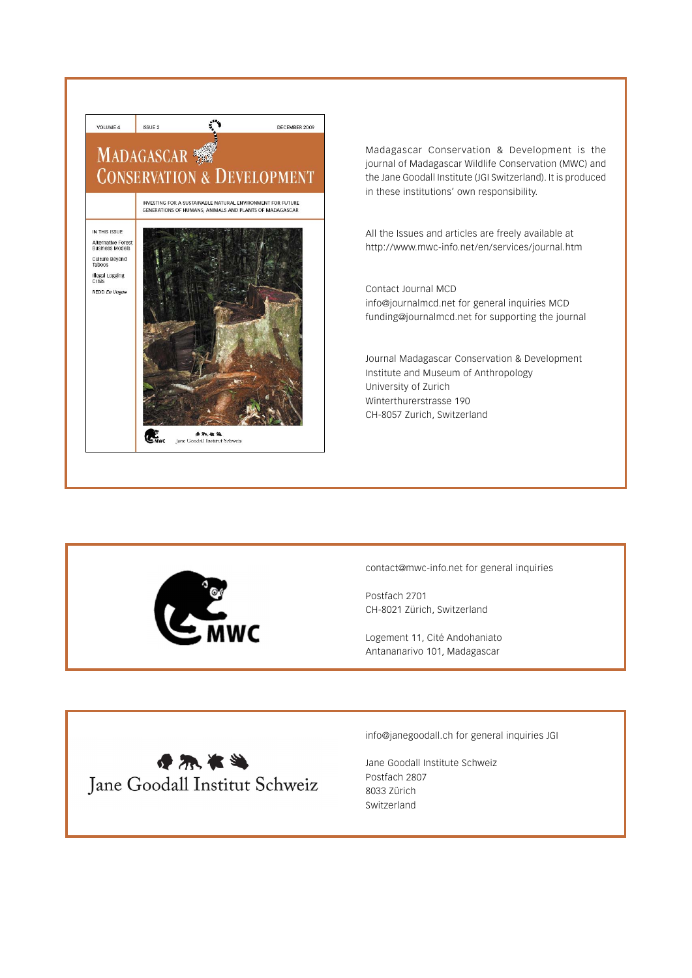

Madagascar Conservation & Development is the journal of Madagascar Wildlife Conservation (MWC) and the Jane Goodall Institute (JGI Switzerland). It is produced in these institutions' own responsibility.

All the Issues and articles are freely available at http://www.mwc-info.net/en/services/journal.htm

Contact Journal MCD info@journalmcd.net for general inquiries MCD funding@journalmcd.net for supporting the journal

Journal Madagascar Conservation & Development Institute and Museum of Anthropology University of Zurich Winterthurerstrasse 190 CH-8057 Zurich, Switzerland



contact@mwc-info.net for general inquiries

Postfach 2701 CH-8021 Zürich, Switzerland

Logement 11, Cité Andohaniato Antananarivo 101, Madagascar



info@janegoodall.ch for general inquiries JGI

Jane Goodall Institute Schweiz Postfach 2807 8033 Zürich Switzerland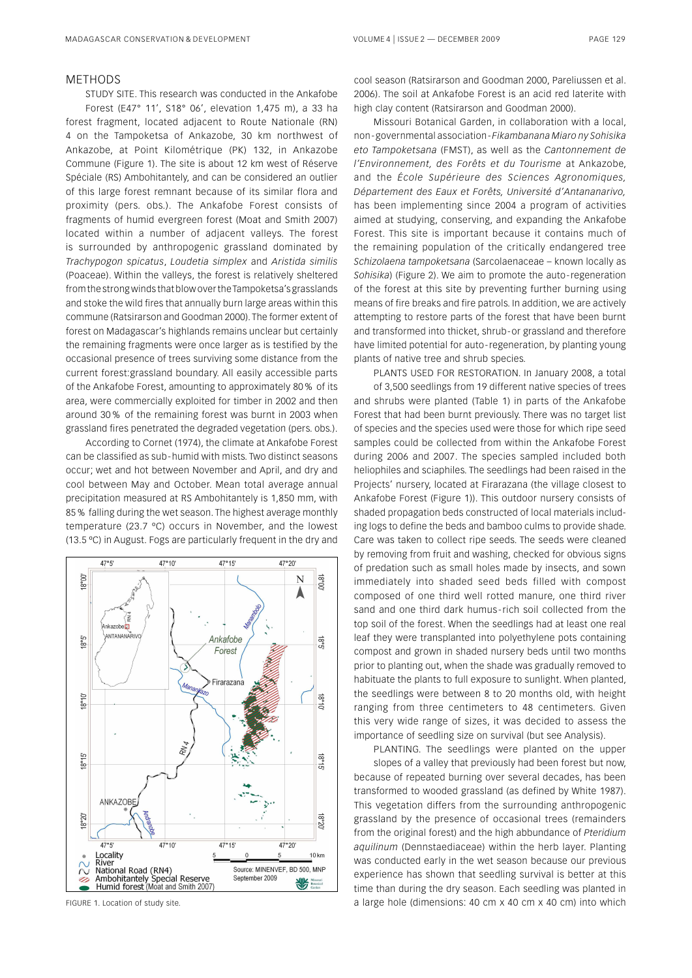#### METHODS

STUDY SITE. This research was conducted in the Ankafobe Forest (E47° 11', S18° 06', elevation 1,475 m), a 33 ha forest fragment, located adjacent to Route Nationale (RN) 4 on the Tampoketsa of Ankazobe, 30 km northwest of Ankazobe, at Point Kilométrique (PK) 132, in Ankazobe Commune (Figure 1). The site is about 12 km west of Réserve Spéciale (RS) Ambohitantely, and can be considered an outlier of this large forest remnant because of its similar flora and proximity (pers. obs.). The Ankafobe Forest consists of fragments of humid evergreen forest (Moat and Smith 2007) located within a number of adjacent valleys. The forest is surrounded by anthropogenic grassland dominated by *Trachypogon spicatus*, *Loudetia simplex* and *Aristida similis*  (Poaceae). Within the valleys, the forest is relatively sheltered from the strong winds that blow over the Tampoketsa's grasslands and stoke the wild fires that annually burn large areas within this commune (Ratsirarson and Goodman 2000). The former extent of forest on Madagascar's highlands remains unclear but certainly the remaining fragments were once larger as is testified by the occasional presence of trees surviving some distance from the current forest:grassland boundary. All easily accessible parts of the Ankafobe Forest, amounting to approximately 80 % of its area, were commercially exploited for timber in 2002 and then around 30 % of the remaining forest was burnt in 2003 when grassland fires penetrated the degraded vegetation (pers. obs.).

According to Cornet (1974), the climate at Ankafobe Forest can be classified as sub - humid with mists. Two distinct seasons occur; wet and hot between November and April, and dry and cool between May and October. Mean total average annual precipitation measured at RS Ambohitantely is 1,850 mm, with 85 % falling during the wet season. The highest average monthly temperature (23.7 ºC) occurs in November, and the lowest (13.5 ºC) in August. Fogs are particularly frequent in the dry and



cool season (Ratsirarson and Goodman 2000, Pareliussen et al. 2006). The soil at Ankafobe Forest is an acid red laterite with high clay content (Ratsirarson and Goodman 2000).

Missouri Botanical Garden, in collaboration with a local, non - governmental association - *Fikambanana Miaro ny Sohisika eto Tampoketsana* (FMST), as well as the *Cantonnement de l'Environnement, des Forêts et du Tourisme* at Ankazobe, and the *École Supérieure des Sciences Agronomiques, Département des Eaux et Forêts, Université d'Antananarivo,* has been implementing since 2004 a program of activities aimed at studying, conserving, and expanding the Ankafobe Forest. This site is important because it contains much of the remaining population of the critically endangered tree *Schizolaena tampoketsana* (Sarcolaenaceae – known locally as *Sohisika*) (Figure 2). We aim to promote the auto - regeneration of the forest at this site by preventing further burning using means of fire breaks and fire patrols. In addition, we are actively attempting to restore parts of the forest that have been burnt and transformed into thicket, shrub - or grassland and therefore have limited potential for auto - regeneration, by planting young plants of native tree and shrub species.

PLANTS USED FOR RESTORATION. In January 2008, a total of 3,500 seedlings from 19 different native species of trees and shrubs were planted (Table 1) in parts of the Ankafobe Forest that had been burnt previously. There was no target list of species and the species used were those for which ripe seed samples could be collected from within the Ankafobe Forest during 2006 and 2007. The species sampled included both heliophiles and sciaphiles. The seedlings had been raised in the Projects' nursery, located at Firarazana (the village closest to Ankafobe Forest (Figure 1)). This outdoor nursery consists of shaded propagation beds constructed of local materials including logs to define the beds and bamboo culms to provide shade. Care was taken to collect ripe seeds. The seeds were cleaned by removing from fruit and washing, checked for obvious signs of predation such as small holes made by insects, and sown immediately into shaded seed beds filled with compost composed of one third well rotted manure, one third river sand and one third dark humus - rich soil collected from the top soil of the forest. When the seedlings had at least one real leaf they were transplanted into polyethylene pots containing compost and grown in shaded nursery beds until two months prior to planting out, when the shade was gradually removed to habituate the plants to full exposure to sunlight. When planted, the seedlings were between 8 to 20 months old, with height ranging from three centimeters to 48 centimeters. Given this very wide range of sizes, it was decided to assess the importance of seedling size on survival (but see Analysis).

PLANTING. The seedlings were planted on the upper slopes of a valley that previously had been forest but now, because of repeated burning over several decades, has been transformed to wooded grassland (as defined by White 1987). This vegetation differs from the surrounding anthropogenic grassland by the presence of occasional trees (remainders from the original forest) and the high abbundance of *Pteridium aquilinum* (Dennstaediaceae) within the herb layer. Planting was conducted early in the wet season because our previous experience has shown that seedling survival is better at this time than during the dry season. Each seedling was planted in FIGURE 1. Location of study site. <br>a large hole (dimensions: 40 cm x 40 cm x 40 cm) into which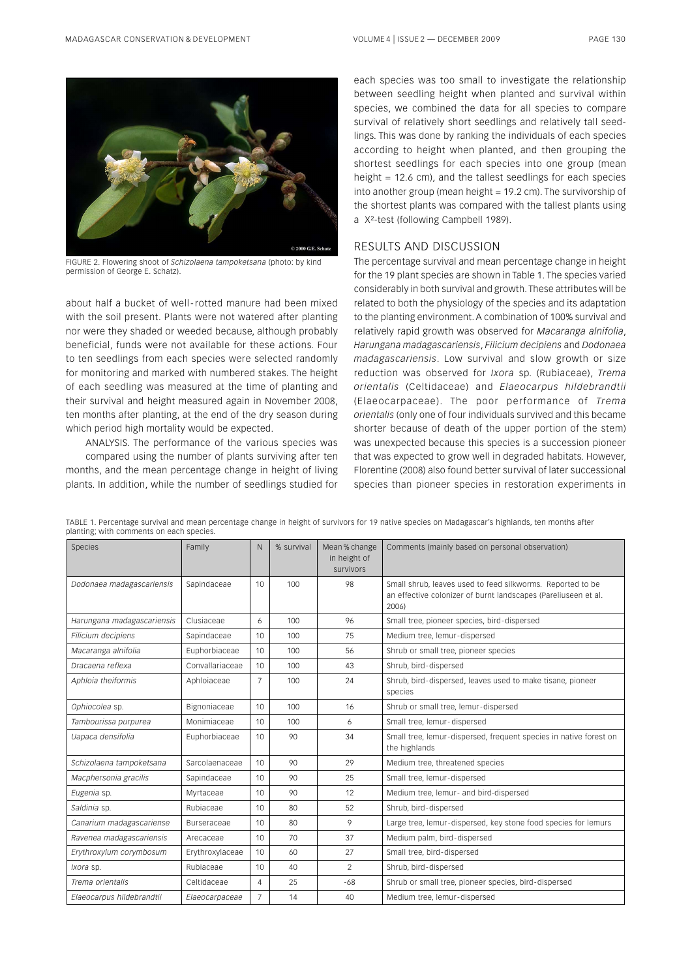

FIGURE 2. Flowering shoot of *Schizolaena tampoketsana* (photo: by kind permission of George E. Schatz).

about half a bucket of well - rotted manure had been mixed with the soil present. Plants were not watered after planting nor were they shaded or weeded because, although probably beneficial, funds were not available for these actions. Four to ten seedlings from each species were selected randomly for monitoring and marked with numbered stakes. The height of each seedling was measured at the time of planting and their survival and height measured again in November 2008, ten months after planting, at the end of the dry season during which period high mortality would be expected.

ANALYSIS. The performance of the various species was compared using the number of plants surviving after ten months, and the mean percentage change in height of living plants. In addition, while the number of seedlings studied for each species was too small to investigate the relationship between seedling height when planted and survival within species, we combined the data for all species to compare survival of relatively short seedlings and relatively tall seedlings. This was done by ranking the individuals of each species according to height when planted, and then grouping the shortest seedlings for each species into one group (mean height = 12.6 cm), and the tallest seedlings for each species into another group (mean height = 19.2 cm). The survivorship of the shortest plants was compared with the tallest plants using a X<sup>2</sup>-test (following Campbell 1989).

## RESULTS AND DISCUSSION

The percentage survival and mean percentage change in height for the 19 plant species are shown in Table 1. The species varied considerably in both survival and growth. These attributes will be related to both the physiology of the species and its adaptation to the planting environment. A combination of 100% survival and relatively rapid growth was observed for *Macaranga alnifolia*, *Harungana madagascariensis*, *Filicium decipiens* and *Dodonaea madagascariensis*. Low survival and slow growth or size reduction was observed for *Ixora* sp. (Rubiaceae), *Trema orientalis* (Celtidaceae) and *Elaeocarpus hildebrandtii* (Elaeocarpaceae). The poor performance of *Trema orientalis* (only one of four individuals survived and this became shorter because of death of the upper portion of the stem) was unexpected because this species is a succession pioneer that was expected to grow well in degraded habitats. However, Florentine (2008) also found better survival of later successional species than pioneer species in restoration experiments in

| Species                    | Family             | N               | % survival | Mean % change<br>in height of<br>survivors | Comments (mainly based on personal observation)                                                                                       |
|----------------------------|--------------------|-----------------|------------|--------------------------------------------|---------------------------------------------------------------------------------------------------------------------------------------|
| Dodonaea madagascariensis  | Sapindaceae        | 10              | 100        | 98                                         | Small shrub, leaves used to feed silkworms. Reported to be<br>an effective colonizer of burnt landscapes (Pareliuseen et al.<br>2006) |
| Harungana madagascariensis | Clusiaceae         | 6               | 100        | 96                                         | Small tree, pioneer species, bird-dispersed                                                                                           |
| Filicium decipiens         | Sapindaceae        | 10              | 100        | 75                                         | Medium tree, lemur-dispersed                                                                                                          |
| Macaranga alnifolia        | Euphorbiaceae      | 10              | 100        | 56                                         | Shrub or small tree, pioneer species                                                                                                  |
| Dracaena reflexa           | Convallariaceae    | 10              | 100        | 43                                         | Shrub, bird-dispersed                                                                                                                 |
| Aphloia theiformis         | Aphloiaceae        | $\overline{7}$  | 100        | 24                                         | Shrub, bird-dispersed, leaves used to make tisane, pioneer<br>species                                                                 |
| Ophiocolea sp.             | Bignoniaceae       | 10              | 100        | 16                                         | Shrub or small tree, lemur-dispersed                                                                                                  |
| Tambourissa purpurea       | Monimiaceae        | 10              | 100        | 6                                          | Small tree, lemur-dispersed                                                                                                           |
| Uapaca densifolia          | Euphorbiaceae      | 10              | 90         | 34                                         | Small tree, lemur-dispersed, frequent species in native forest on<br>the highlands                                                    |
| Schizolaena tampoketsana   | Sarcolaenaceae     | 10 <sup>1</sup> | 90         | 29                                         | Medium tree, threatened species                                                                                                       |
| Macphersonia gracilis      | Sapindaceae        | 10              | 90         | 25                                         | Small tree, lemur-dispersed                                                                                                           |
| Eugenia sp.                | Myrtaceae          | 10 <sup>1</sup> | 90         | 12                                         | Medium tree, lemur- and bird-dispersed                                                                                                |
| Saldinia sp.               | Rubiaceae          | 10 <sup>1</sup> | 80         | 52                                         | Shrub, bird-dispersed                                                                                                                 |
| Canarium madagascariense   | <b>Burseraceae</b> | 10              | 80         | 9                                          | Large tree, lemur-dispersed, key stone food species for lemurs                                                                        |
| Ravenea madagascariensis   | Arecaceae          | 10              | 70         | 37                                         | Medium palm, bird-dispersed                                                                                                           |
| Erythroxylum corymbosum    | Erythroxylaceae    | 10              | 60         | 27                                         | Small tree, bird-dispersed                                                                                                            |
| Ixora sp.                  | Rubiaceae          | 10              | 40         | $\overline{2}$                             | Shrub, bird-dispersed                                                                                                                 |
| Trema orientalis           | Celtidaceae        | 4               | 25         | $-68$                                      | Shrub or small tree, pioneer species, bird-dispersed                                                                                  |
| Elaeocarpus hildebrandtii  | Elaeocarpaceae     | $\overline{7}$  | 14         | 40                                         | Medium tree, lemur-dispersed                                                                                                          |

TABLE 1. Percentage survival and mean percentage change in height of survivors for 19 native species on Madagascar's highlands, ten months after planting; with comments on each species.